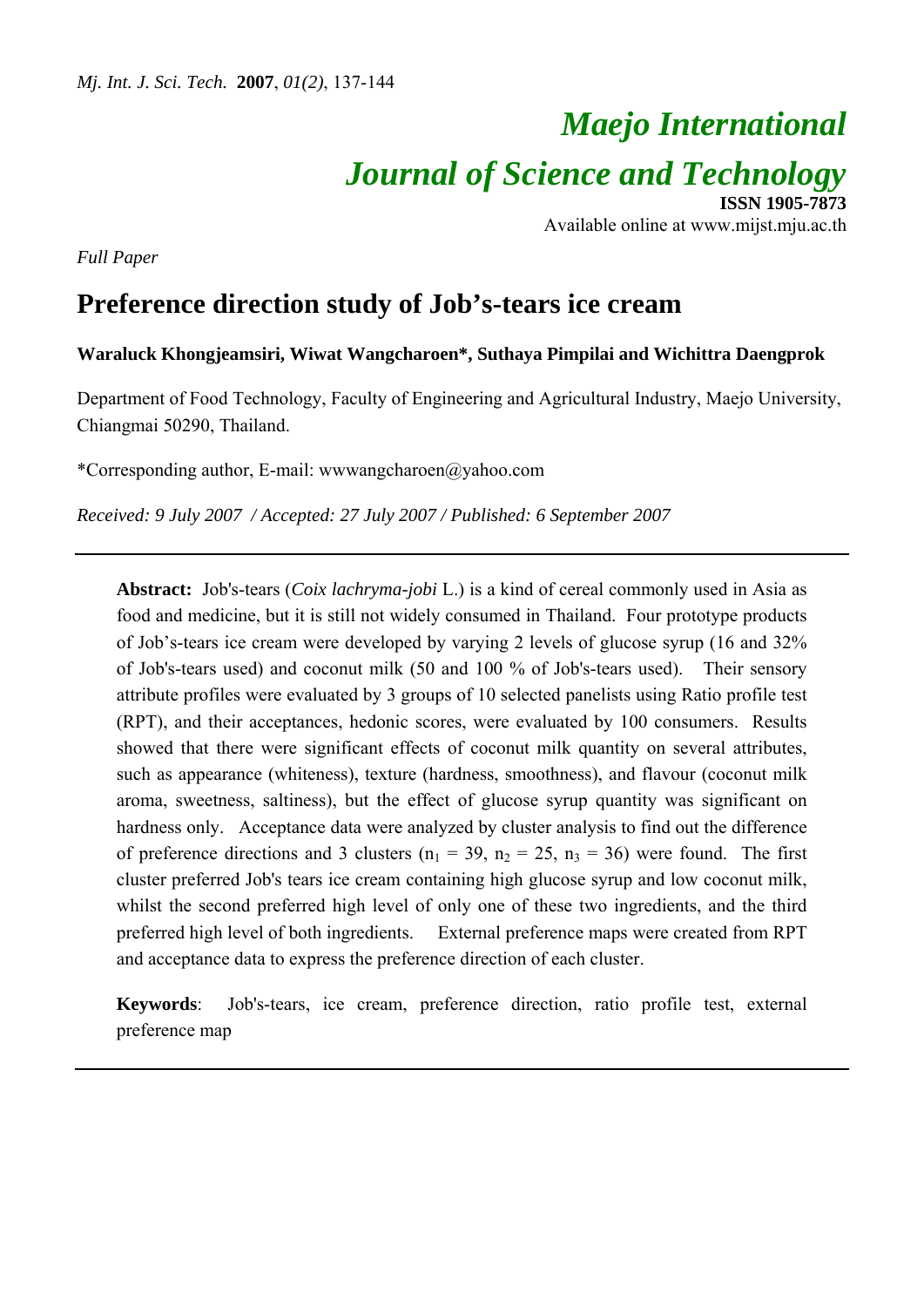# *Maejo International*

*Journal of Science and Technology*

**ISSN 1905-7873** Available online at www.mijst.mju.ac.th

*Full Paper* 

# **Preference direction study of Job's-tears ice cream**

# **Waraluck Khongjeamsiri, Wiwat Wangcharoen\*, Suthaya Pimpilai and Wichittra Daengprok**

Department of Food Technology, Faculty of Engineering and Agricultural Industry, Maejo University, Chiangmai 50290, Thailand.

\*Corresponding author, E-mail: wwwangcharoen@yahoo.com

*Received: 9 July 2007 / Accepted: 27 July 2007 / Published: 6 September 2007* 

**Abstract:** Job's-tears (*Coix lachryma-jobi* L.) is a kind of cereal commonly used in Asia as food and medicine, but it is still not widely consumed in Thailand. Four prototype products of Job's-tears ice cream were developed by varying 2 levels of glucose syrup (16 and 32% of Job's-tears used) and coconut milk (50 and 100 % of Job's-tears used). Their sensory attribute profiles were evaluated by 3 groups of 10 selected panelists using Ratio profile test (RPT), and their acceptances, hedonic scores, were evaluated by 100 consumers. Results showed that there were significant effects of coconut milk quantity on several attributes, such as appearance (whiteness), texture (hardness, smoothness), and flavour (coconut milk aroma, sweetness, saltiness), but the effect of glucose syrup quantity was significant on hardness only. Acceptance data were analyzed by cluster analysis to find out the difference of preference directions and 3 clusters ( $n_1 = 39$ ,  $n_2 = 25$ ,  $n_3 = 36$ ) were found. The first cluster preferred Job's tears ice cream containing high glucose syrup and low coconut milk, whilst the second preferred high level of only one of these two ingredients, and the third preferred high level of both ingredients. External preference maps were created from RPT and acceptance data to express the preference direction of each cluster.

**Keywords**: Job's-tears, ice cream, preference direction, ratio profile test, external preference map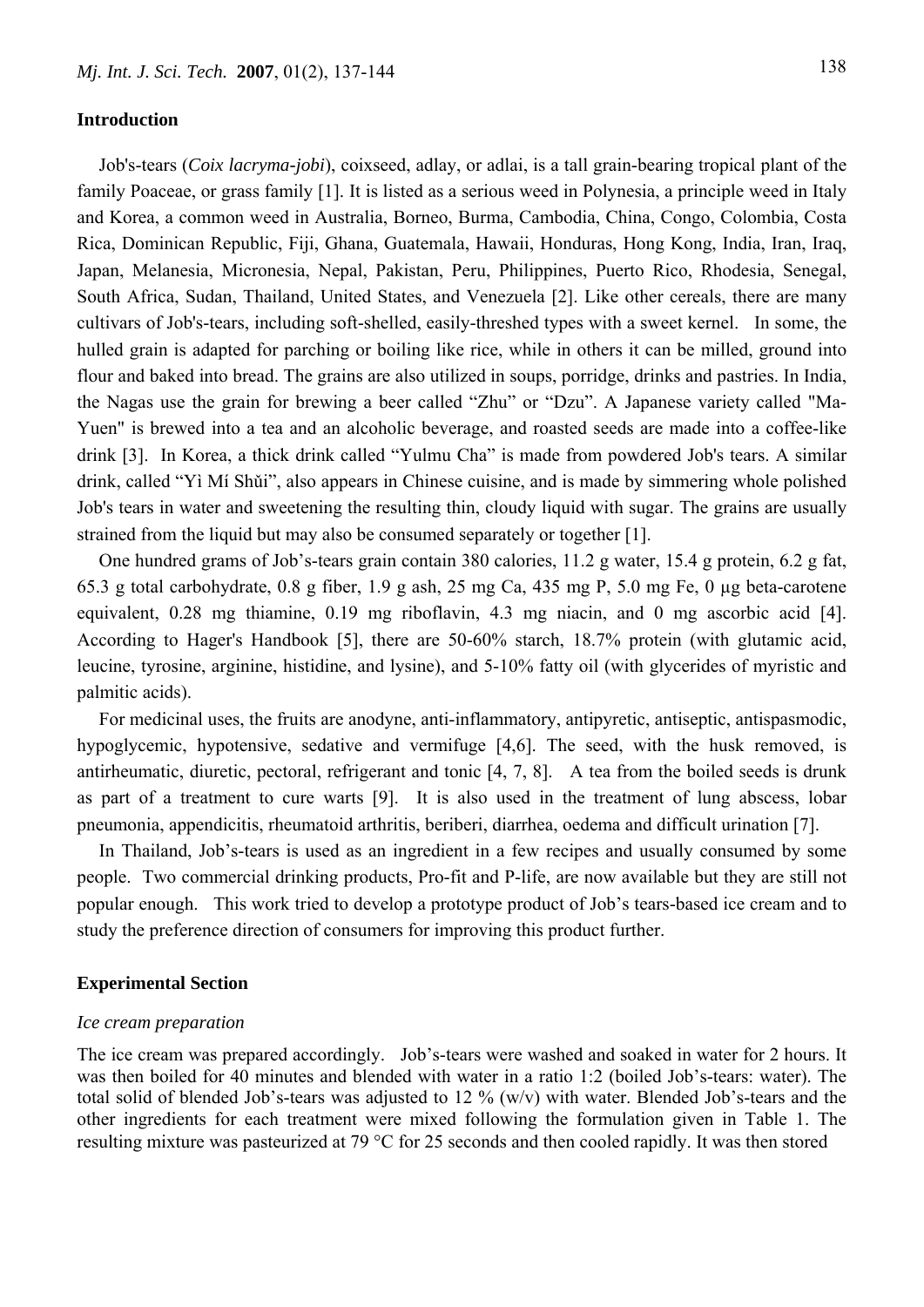# **Introduction**

Job's-tears (*Coix lacryma-jobi*), coixseed, adlay, or adlai, is a tall grain-bearing tropical plant of the family Poaceae, or grass family [1]. It is listed as a serious weed in Polynesia, a principle weed in Italy and Korea, a common weed in Australia, Borneo, Burma, Cambodia, China, Congo, Colombia, Costa Rica, Dominican Republic, Fiji, Ghana, Guatemala, Hawaii, Honduras, Hong Kong, India, Iran, Iraq, Japan, Melanesia, Micronesia, Nepal, Pakistan, Peru, Philippines, Puerto Rico, Rhodesia, Senegal, South Africa, Sudan, Thailand, United States, and Venezuela [2]. Like other cereals, there are many cultivars of Job's-tears, including soft-shelled, easily-threshed types with a sweet kernel. In some, the hulled grain is adapted for parching or boiling like rice, while in others it can be milled, ground into flour and baked into bread. The grains are also utilized in soups, porridge, drinks and pastries. In India, the Nagas use the grain for brewing a beer called "Zhu" or "Dzu". A Japanese variety called "Ma-Yuen" is brewed into a tea and an alcoholic beverage, and roasted seeds are made into a coffee-like drink [3]. In Korea, a thick drink called "Yulmu Cha" is made from powdered Job's tears. A similar drink, called "Yì Mí Shǔi", also appears in Chinese cuisine, and is made by simmering whole polished Job's tears in water and sweetening the resulting thin, cloudy liquid with sugar. The grains are usually strained from the liquid but may also be consumed separately or together [1].

One hundred grams of Job's-tears grain contain 380 calories, 11.2 g water, 15.4 g protein, 6.2 g fat, 65.3 g total carbohydrate, 0.8 g fiber, 1.9 g ash, 25 mg Ca, 435 mg P, 5.0 mg Fe, 0 µg beta-carotene equivalent, 0.28 mg thiamine, 0.19 mg riboflavin, 4.3 mg niacin, and 0 mg ascorbic acid [4]. According to Hager's Handbook [5], there are 50-60% starch, 18.7% protein (with glutamic acid, leucine, tyrosine, arginine, histidine, and lysine), and 5-10% fatty oil (with glycerides of myristic and palmitic acids).

For medicinal uses, the fruits are anodyne, anti-inflammatory, antipyretic, antiseptic, antispasmodic, hypoglycemic, hypotensive, sedative and vermifuge [4,6]. The seed, with the husk removed, is antirheumatic, diuretic, pectoral, refrigerant and tonic [4, 7, 8]. A tea from the boiled seeds is drunk as part of a treatment to cure warts [9]. It is also used in the treatment of lung abscess, lobar pneumonia, appendicitis, rheumatoid arthritis, beriberi, diarrhea, oedema and difficult urination [7].

In Thailand, Job's-tears is used as an ingredient in a few recipes and usually consumed by some people. Two commercial drinking products, Pro-fit and P-life, are now available but they are still not popular enough. This work tried to develop a prototype product of Job's tears-based ice cream and to study the preference direction of consumers for improving this product further.

### **Experimental Section**

#### *Ice cream preparation*

The ice cream was prepared accordingly. Job's-tears were washed and soaked in water for 2 hours. It was then boiled for 40 minutes and blended with water in a ratio 1:2 (boiled Job's-tears: water). The total solid of blended Job's-tears was adjusted to 12 % (w/v) with water. Blended Job's-tears and the other ingredients for each treatment were mixed following the formulation given in Table 1. The resulting mixture was pasteurized at 79 °C for 25 seconds and then cooled rapidly. It was then stored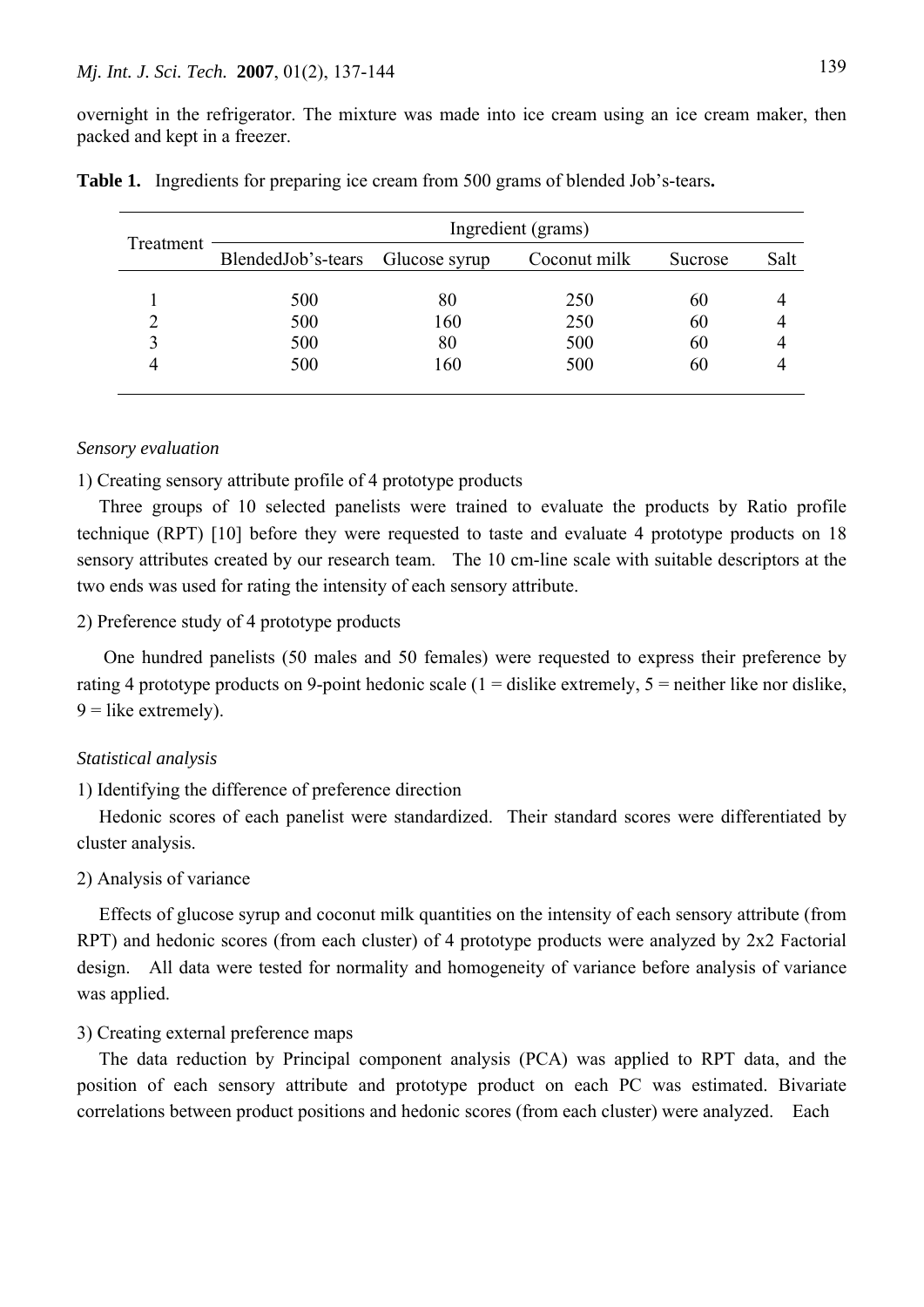overnight in the refrigerator. The mixture was made into ice cream using an ice cream maker, then packed and kept in a freezer.

| Treatment | Ingredient (grams)               |     |              |         |      |  |
|-----------|----------------------------------|-----|--------------|---------|------|--|
|           | BlendedJob's-tears Glucose syrup |     | Coconut milk | Sucrose | Salt |  |
|           | 500                              | 80  | 250          | 60      |      |  |
|           | 500                              | 160 | 250          | 60      |      |  |
|           | 500                              | 80  | 500          | 60      |      |  |
|           | 500                              | 160 | 500          | 60      |      |  |
|           |                                  |     |              |         |      |  |

| Table 1. Ingredients for preparing ice cream from 500 grams of blended Job's-tears. |  |  |  |
|-------------------------------------------------------------------------------------|--|--|--|
|                                                                                     |  |  |  |

#### *Sensory evaluation*

1) Creating sensory attribute profile of 4 prototype products

Three groups of 10 selected panelists were trained to evaluate the products by Ratio profile technique (RPT) [10] before they were requested to taste and evaluate 4 prototype products on 18 sensory attributes created by our research team. The 10 cm-line scale with suitable descriptors at the two ends was used for rating the intensity of each sensory attribute.

# 2) Preference study of 4 prototype products

 One hundred panelists (50 males and 50 females) were requested to express their preference by rating 4 prototype products on 9-point hedonic scale ( $1 =$  dislike extremely,  $5 =$  neither like nor dislike,  $9 =$ like extremely).

#### *Statistical analysis*

# 1) Identifying the difference of preference direction

Hedonic scores of each panelist were standardized. Their standard scores were differentiated by cluster analysis.

#### 2) Analysis of variance

Effects of glucose syrup and coconut milk quantities on the intensity of each sensory attribute (from RPT) and hedonic scores (from each cluster) of 4 prototype products were analyzed by 2x2 Factorial design. All data were tested for normality and homogeneity of variance before analysis of variance was applied.

# 3) Creating external preference maps

The data reduction by Principal component analysis (PCA) was applied to RPT data, and the position of each sensory attribute and prototype product on each PC was estimated. Bivariate correlations between product positions and hedonic scores (from each cluster) were analyzed. Each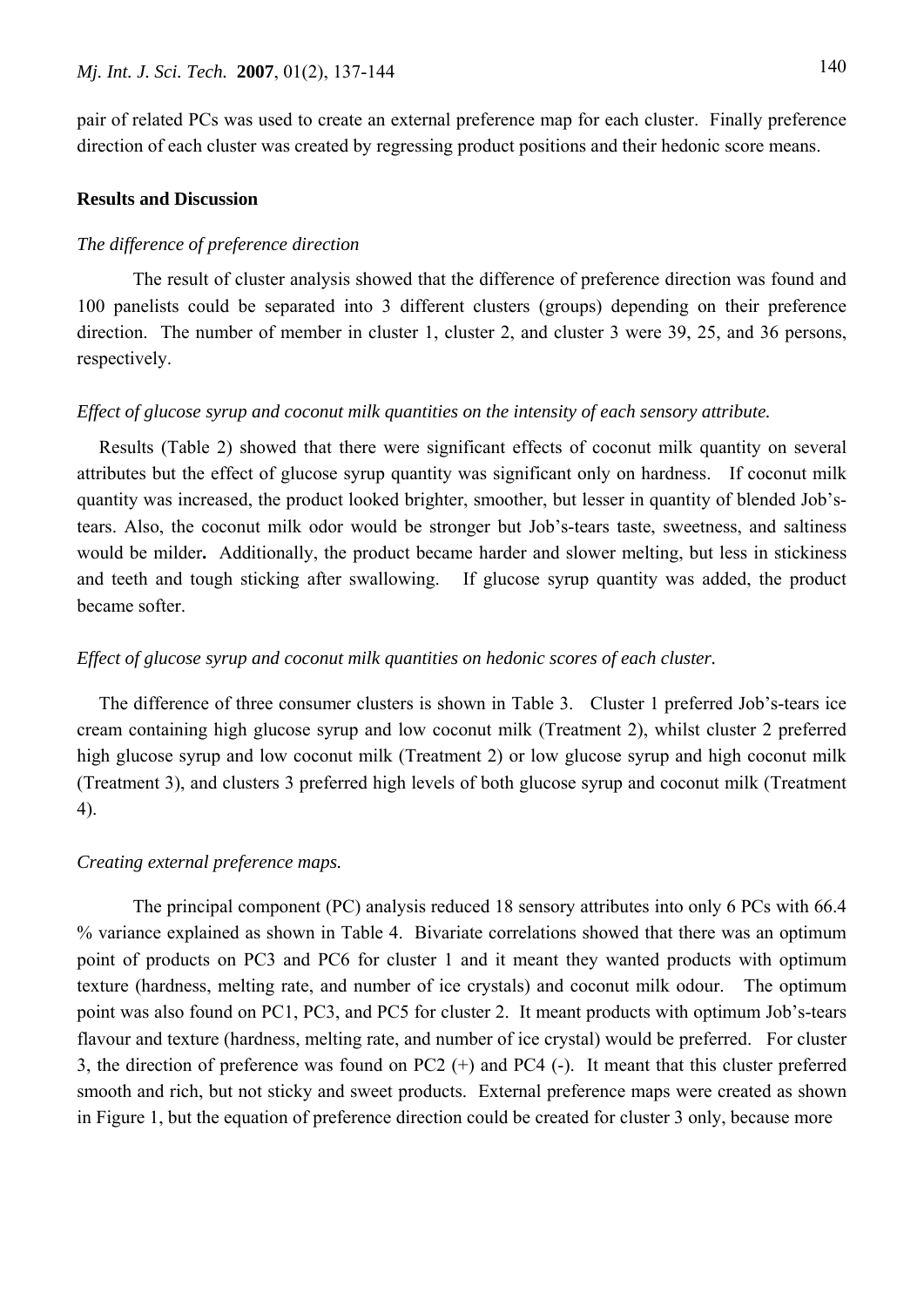pair of related PCs was used to create an external preference map for each cluster. Finally preference direction of each cluster was created by regressing product positions and their hedonic score means.

# **Results and Discussion**

#### *The difference of preference direction*

 The result of cluster analysis showed that the difference of preference direction was found and 100 panelists could be separated into 3 different clusters (groups) depending on their preference direction. The number of member in cluster 1, cluster 2, and cluster 3 were 39, 25, and 36 persons, respectively.

# *Effect of glucose syrup and coconut milk quantities on the intensity of each sensory attribute.*

Results (Table 2) showed that there were significant effects of coconut milk quantity on several attributes but the effect of glucose syrup quantity was significant only on hardness. If coconut milk quantity was increased, the product looked brighter, smoother, but lesser in quantity of blended Job'stears. Also, the coconut milk odor would be stronger but Job's-tears taste, sweetness, and saltiness would be milder**.** Additionally, the product became harder and slower melting, but less in stickiness and teeth and tough sticking after swallowing. If glucose syrup quantity was added, the product became softer.

### *Effect of glucose syrup and coconut milk quantities on hedonic scores of each cluster.*

The difference of three consumer clusters is shown in Table 3. Cluster 1 preferred Job's-tears ice cream containing high glucose syrup and low coconut milk (Treatment 2), whilst cluster 2 preferred high glucose syrup and low coconut milk (Treatment 2) or low glucose syrup and high coconut milk (Treatment 3), and clusters 3 preferred high levels of both glucose syrup and coconut milk (Treatment 4).

#### *Creating external preference maps.*

The principal component (PC) analysis reduced 18 sensory attributes into only 6 PCs with 66.4 % variance explained as shown in Table 4. Bivariate correlations showed that there was an optimum point of products on PC3 and PC6 for cluster 1 and it meant they wanted products with optimum texture (hardness, melting rate, and number of ice crystals) and coconut milk odour. The optimum point was also found on PC1, PC3, and PC5 for cluster 2. It meant products with optimum Job's-tears flavour and texture (hardness, melting rate, and number of ice crystal) would be preferred. For cluster 3, the direction of preference was found on PC2 (+) and PC4 (-). It meant that this cluster preferred smooth and rich, but not sticky and sweet products. External preference maps were created as shown in Figure 1, but the equation of preference direction could be created for cluster 3 only, because more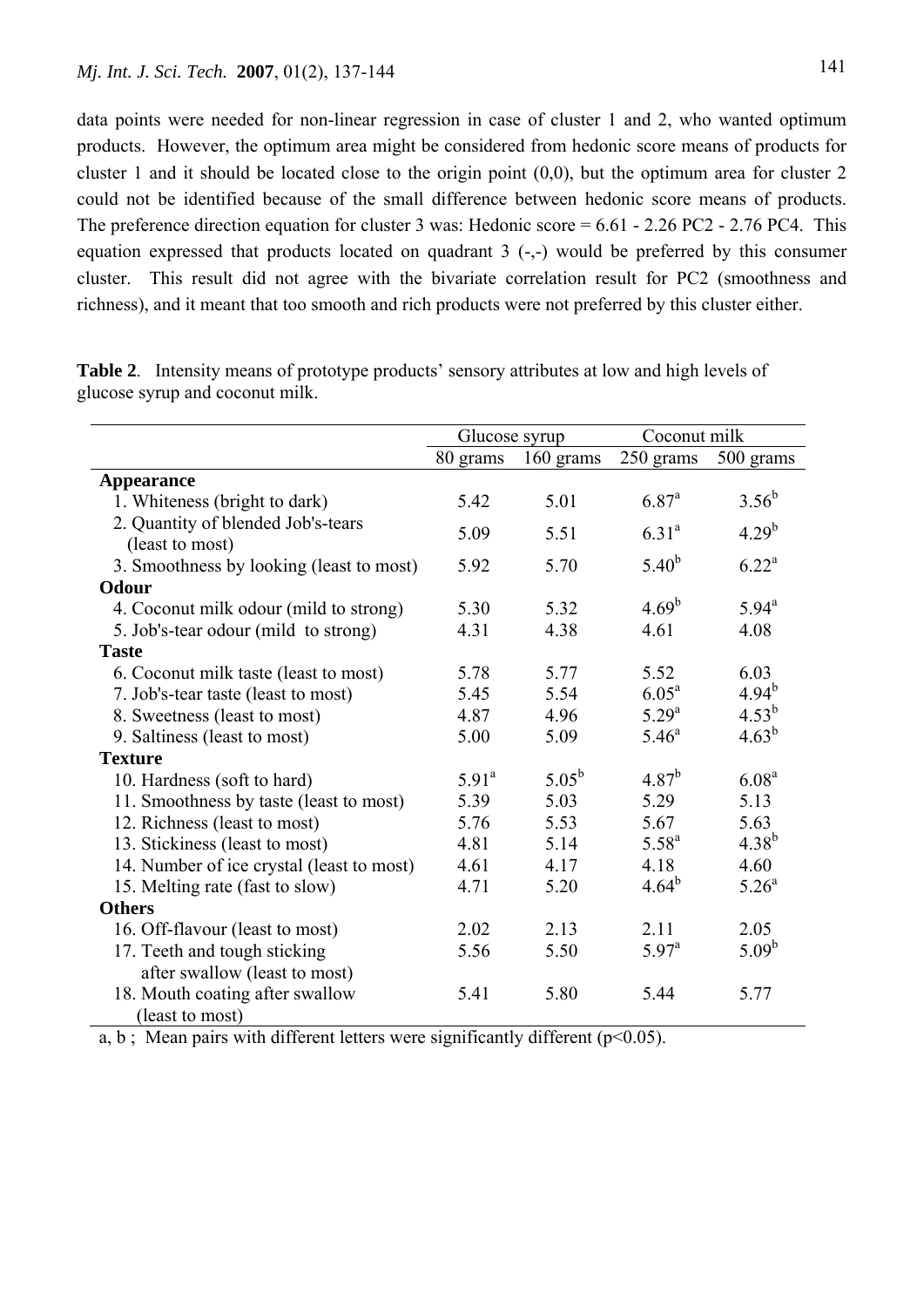data points were needed for non-linear regression in case of cluster 1 and 2, who wanted optimum products. However, the optimum area might be considered from hedonic score means of products for cluster 1 and it should be located close to the origin point (0,0), but the optimum area for cluster 2 could not be identified because of the small difference between hedonic score means of products. The preference direction equation for cluster 3 was: Hedonic score  $= 6.61 - 2.26$  PC2 - 2.76 PC4. This equation expressed that products located on quadrant  $3$  (-,-) would be preferred by this consumer cluster. This result did not agree with the bivariate correlation result for PC2 (smoothness and richness), and it meant that too smooth and rich products were not preferred by this cluster either.

|                                                       | Glucose syrup     |            | Coconut milk      |                   |
|-------------------------------------------------------|-------------------|------------|-------------------|-------------------|
|                                                       | 80 grams          | 160 grams  | 250 grams         | 500 grams         |
| <b>Appearance</b>                                     |                   |            |                   |                   |
| 1. Whiteness (bright to dark)                         | 5.42              | 5.01       | $6.87^{a}$        | $3.56^{b}$        |
| 2. Quantity of blended Job's-tears<br>(least to most) | 5.09              | 5.51       | $6.31^{a}$        | $4.29^{b}$        |
| 3. Smoothness by looking (least to most)              | 5.92              | 5.70       | $5.40^{b}$        | $6.22^a$          |
| <b>Odour</b>                                          |                   |            |                   |                   |
| 4. Coconut milk odour (mild to strong)                | 5.30              | 5.32       | $4.69^{b}$        | $5.94^{\circ}$    |
| 5. Job's-tear odour (mild to strong)                  | 4.31              | 4.38       | 4.61              | 4.08              |
| <b>Taste</b>                                          |                   |            |                   |                   |
| 6. Coconut milk taste (least to most)                 | 5.78              | 5.77       | 5.52              | 6.03              |
| 7. Job's-tear taste (least to most)                   | 5.45              | 5.54       | 6.05 <sup>a</sup> | $4.94^{b}$        |
| 8. Sweetness (least to most)                          | 4.87              | 4.96       | $5.29^{a}$        | $4.53^{b}$        |
| 9. Saltiness (least to most)                          | 5.00              | 5.09       | $5.46^{\circ}$    | $4.63^{b}$        |
| <b>Texture</b>                                        |                   |            |                   |                   |
| 10. Hardness (soft to hard)                           | 5.91 <sup>a</sup> | $5.05^{b}$ | $4.87^{b}$        | 6.08 <sup>a</sup> |
| 11. Smoothness by taste (least to most)               | 5.39              | 5.03       | 5.29              | 5.13              |
| 12. Richness (least to most)                          | 5.76              | 5.53       | 5.67              | 5.63              |
| 13. Stickiness (least to most)                        | 4.81              | 5.14       | $5.58^{a}$        | $4.38^{b}$        |
| 14. Number of ice crystal (least to most)             | 4.61              | 4.17       | 4.18              | 4.60              |
| 15. Melting rate (fast to slow)                       | 4.71              | 5.20       | $4.64^{b}$        | 5.26 <sup>a</sup> |
| <b>Others</b>                                         |                   |            |                   |                   |
| 16. Off-flavour (least to most)                       | 2.02              | 2.13       | 2.11              | 2.05              |
| 17. Teeth and tough sticking                          | 5.56              | 5.50       | $5.97^{\rm a}$    | $5.09^{b}$        |
| after swallow (least to most)                         |                   |            |                   |                   |
| 18. Mouth coating after swallow                       | 5.41              | 5.80       | 5.44              | 5.77              |
| (least to most)                                       |                   |            |                   |                   |

**Table 2**. Intensity means of prototype products' sensory attributes at low and high levels of glucose syrup and coconut milk.

a, b; Mean pairs with different letters were significantly different ( $p<0.05$ ).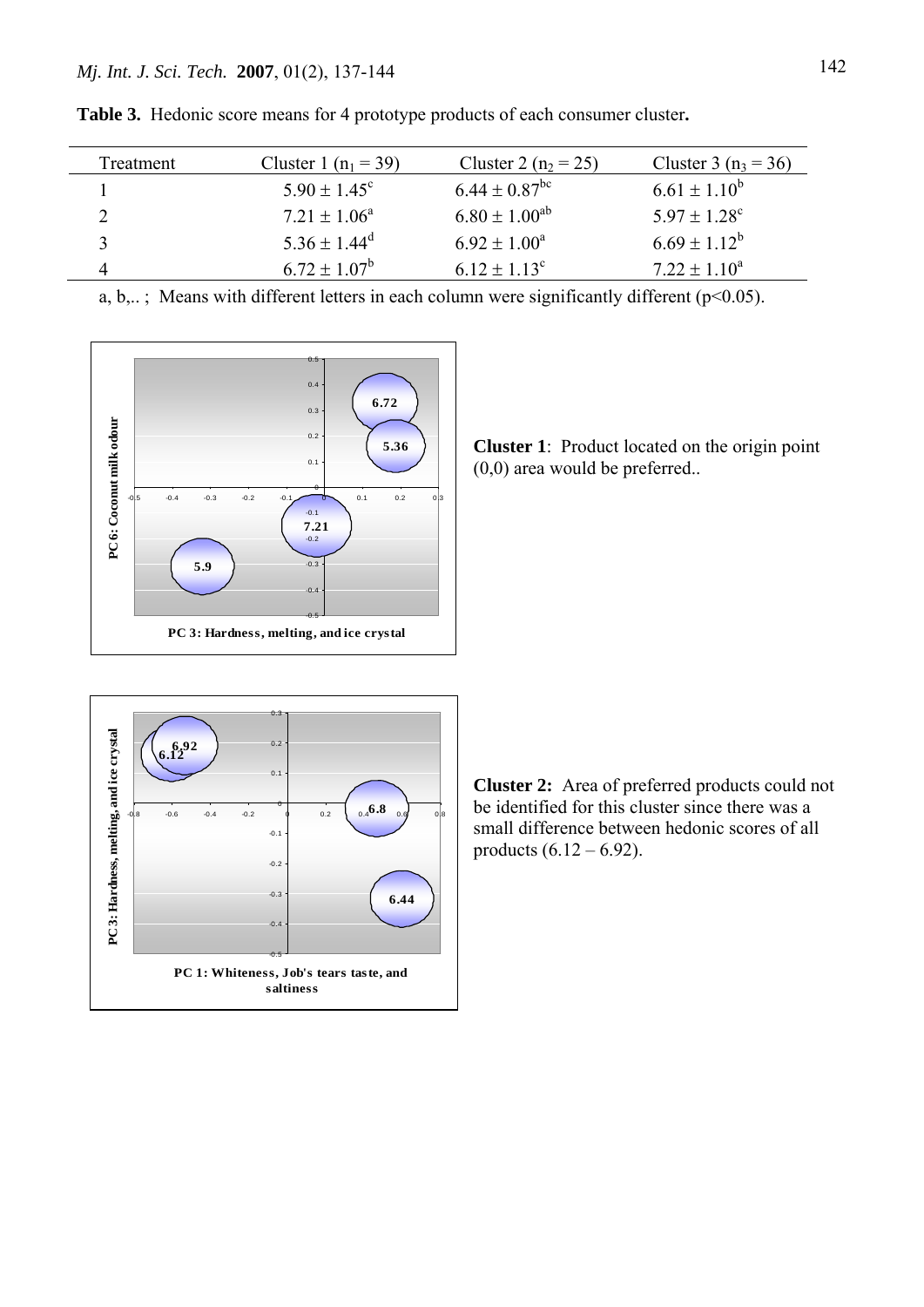| Treatment | Cluster 1 $(n_1 = 39)$  | Cluster 2 ( $n_2 = 25$ ) | Cluster 3 ( $n_3$ = 36)      |
|-----------|-------------------------|--------------------------|------------------------------|
|           | $5.90 \pm 1.45^{\circ}$ | $6.44 \pm 0.87^{\rm bc}$ | $6.61 \pm 1.10^b$            |
|           | $7.21 \pm 1.06^a$       | $6.80 \pm 1.00^{ab}$     | $5.97 \pm 1.28$ <sup>c</sup> |
|           | $5.36 \pm 1.44^d$       | $6.92 \pm 1.00^a$        | $6.69 \pm 1.12^b$            |
|           | $6.72 \pm 1.07^b$       | $6.12 \pm 1.13^c$        | $7.22 \pm 1.10^a$            |

**Table 3.** Hedonic score means for 4 prototype products of each consumer cluster**.**

a, b,...; Means with different letters in each column were significantly different ( $p<0.05$ ).



**Cluster 1**: Product located on the origin point (0,0) area would be preferred..



**Cluster 2:** Area of preferred products could not be identified for this cluster since there was a small difference between hedonic scores of all products  $(6.12 - 6.92)$ .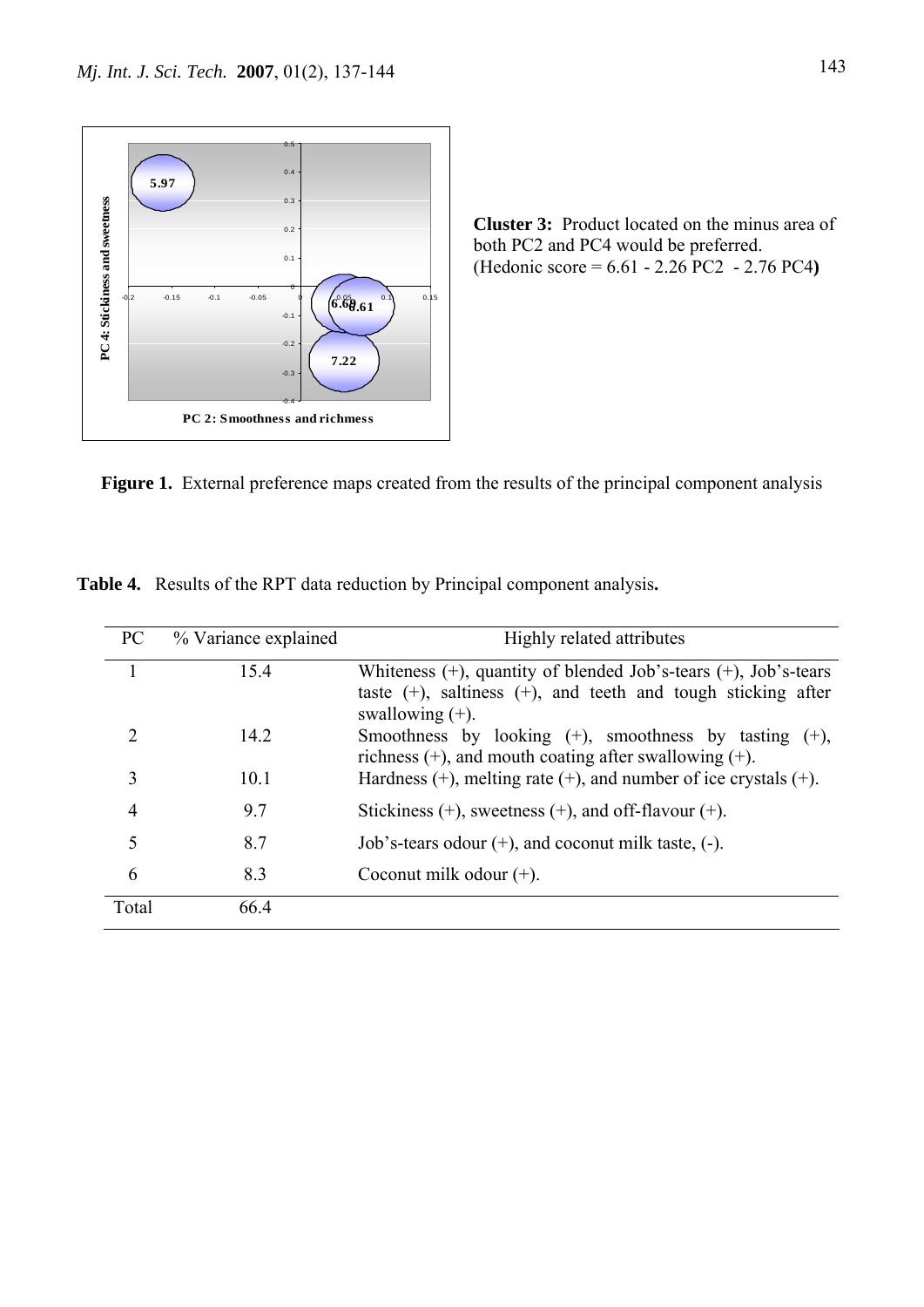

**Cluster 3:** Product located on the minus area of both PC2 and PC4 would be preferred. (Hedonic score = 6.61 - 2.26 PC2 - 2.76 PC4**)**

Figure 1. External preference maps created from the results of the principal component analysis

| PC             | % Variance explained | Highly related attributes                                                                                                                                         |
|----------------|----------------------|-------------------------------------------------------------------------------------------------------------------------------------------------------------------|
|                | 15.4                 | Whiteness $(+)$ , quantity of blended Job's-tears $(+)$ , Job's-tears<br>taste $(+)$ , saltiness $(+)$ , and teeth and tough sticking after<br>swallowing $(+)$ . |
| 2              | 14.2                 | Smoothness by looking $(+)$ , smoothness by tasting $(+)$ ,<br>richness $(+)$ , and mouth coating after swallowing $(+)$ .                                        |
| 3              | 10.1                 | Hardness $(+)$ , melting rate $(+)$ , and number of ice crystals $(+)$ .                                                                                          |
| $\overline{4}$ | 9.7                  | Stickiness $(+)$ , sweetness $(+)$ , and off-flavour $(+)$ .                                                                                                      |
| 5              | 8.7                  | Job's-tears odour $(+)$ , and coconut milk taste, $(-)$ .                                                                                                         |
| 6              | 8.3                  | Coconut milk odour $(+)$ .                                                                                                                                        |
| Total          | 66.4                 |                                                                                                                                                                   |

**Table 4.** Results of the RPT data reduction by Principal component analysis**.**